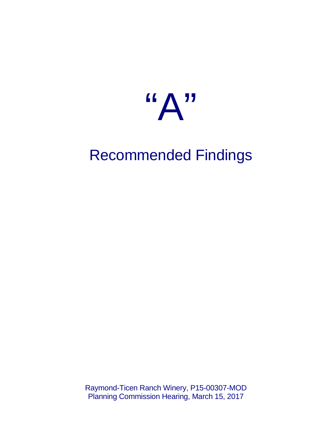

# Recommended Findings

Raymond-Ticen Ranch Winery, P15-00307-MOD Planning Commission Hearing, March 15, 2017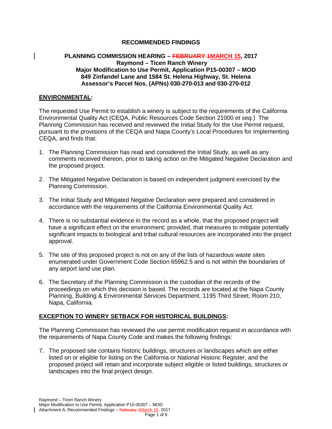# **RECOMMENDED FINDINGS**

#### **PLANNING COMMISSION HEARING – FEBRUARY 1MARCH 15, 2017 Raymond – Ticen Ranch Winery Major Modification to Use Permit, Application P15-00307 – MOD 849 Zinfandel Lane and 1584 St. Helena Highway, St. Helena Assessor's Parcel Nos. (APNs) 030-270-013 and 030-270-012**

#### **ENVIRONMENTAL:**

The requested Use Permit to establish a winery is subject to the requirements of the California Environmental Quality Act (CEQA, Public Resources Code Section 21000 *et seq.*) The Planning Commission has received and reviewed the Initial Study for the Use Permit request, pursuant to the provisions of the CEQA and Napa County's Local Procedures for Implementing CEQA, and finds that:

- 1. The Planning Commission has read and considered the Initial Study, as well as any comments received thereon, prior to taking action on the Mitigated Negative Declaration and the proposed project.
- 2. The Mitigated Negative Declaration is based on independent judgment exercised by the Planning Commission.
- 3. The Initial Study and Mitigated Negative Declaration were prepared and considered in accordance with the requirements of the California Environmental Quality Act.
- 4. There is no substantial evidence in the record as a whole, that the proposed project will have a significant effect on the environment; provided, that measures to mitigate potentially significant impacts to biological and tribal cultural resources are incorporated into the project approval.
- 5. The site of this proposed project is not on any of the lists of hazardous waste sites enumerated under Government Code Section 65962.5 and is not within the boundaries of any airport land use plan.
- 6. The Secretary of the Planning Commission is the custodian of the records of the proceedings on which this decision is based. The records are located at the Napa County Planning, Building & Environmental Services Department, 1195 Third Street, Room 210, Napa, California.

## **EXCEPTION TO WINERY SETBACK FOR HISTORICAL BUILDINGS:**

The Planning Commission has reviewed the use permit modification request in accordance with the requirements of Napa County Code and makes the following findings:

7. The proposed site contains historic buildings, structures or landscapes which are either listed on or eligible for listing on the California or National Historic Register, and the proposed project will retain and incorporate subject eligible or listed buildings, structures or landscapes into the final project design.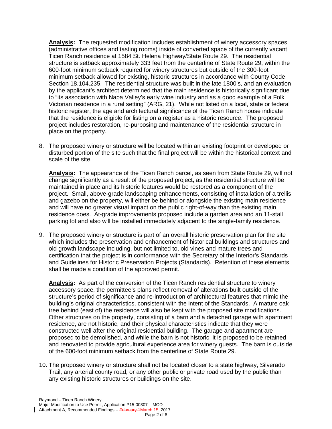**Analysis:** The requested modification includes establishment of winery accessory spaces (administrative offices and tasting rooms) inside of converted space of the currently vacant Ticen Ranch residence at 1584 St. Helena Highway/State Route 29. The residential structure is setback approximately 333 feet from the centerline of State Route 29, within the 600-foot minimum setback required for winery structures but outside of the 300-foot minimum setback allowed for existing, historic structures in accordance with County Code Section 18.104.235. The residential structure was built in the late 1800's, and an evaluation by the applicant's architect determined that the main residence is historically significant due to "its association with Napa Valley's early wine industry and as a good example of a Folk Victorian residence in a rural setting" (ARG, 21). While not listed on a local, state or federal historic register, the age and architectural significance of the Ticen Ranch house indicate that the residence is eligible for listing on a register as a historic resource. The proposed project includes restoration, re-purposing and maintenance of the residential structure in place on the property.

8. The proposed winery or structure will be located within an existing footprint or developed or disturbed portion of the site such that the final project will be within the historical context and scale of the site.

**Analysis:** The appearance of the Ticen Ranch parcel, as seen from State Route 29, will not change significantly as a result of the proposed project, as the residential structure will be maintained in place and its historic features would be restored as a component of the project. Small, above-grade landscaping enhancements, consisting of installation of a trellis and gazebo on the property, will either be behind or alongside the existing main residence and will have no greater visual impact on the public right-of-way than the existing main residence does. At-grade improvements proposed include a garden area and an 11-stall parking lot and also will be installed immediately adjacent to the single-family residence.

9. The proposed winery or structure is part of an overall historic preservation plan for the site which includes the preservation and enhancement of historical buildings and structures and old growth landscape including, but not limited to, old vines and mature trees and certification that the project is in conformance with the Secretary of the Interior's Standards and Guidelines for Historic Preservation Projects (Standards). Retention of these elements shall be made a condition of the approved permit.

**Analysis:** As part of the conversion of the Ticen Ranch residential structure to winery accessory space, the permittee's plans reflect removal of alterations built outside of the structure's period of significance and re-introduction of architectural features that mimic the building's original characteristics, consistent with the intent of the Standards. A mature oak tree behind (east of) the residence will also be kept with the proposed site modifications. Other structures on the property, consisting of a barn and a detached garage with apartment residence, are not historic, and their physical characteristics indicate that they were constructed well after the original residential building. The garage and apartment are proposed to be demolished, and while the barn is not historic, it is proposed to be retained and renovated to provide agricultural experience area for winery guests. The barn is outside of the 600-foot minimum setback from the centerline of State Route 29.

10. The proposed winery or structure shall not be located closer to a state highway, Silverado Trail, any arterial county road, or any other public or private road used by the public than any existing historic structures or buildings on the site.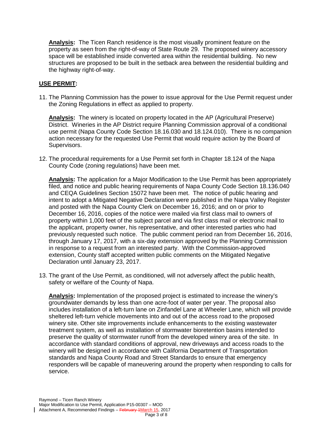**Analysis:** The Ticen Ranch residence is the most visually prominent feature on the property as seen from the right-of-way of State Route 29. The proposed winery accessory space will be established inside converted area within the residential building. No new structures are proposed to be built in the setback area between the residential building and the highway right-of-way.

# **USE PERMIT:**

11. The Planning Commission has the power to issue approval for the Use Permit request under the Zoning Regulations in effect as applied to property.

**Analysis:** The winery is located on property located in the AP (Agricultural Preserve) District. Wineries in the AP District require Planning Commission approval of a conditional use permit (Napa County Code Section 18.16.030 and 18.124.010). There is no companion action necessary for the requested Use Permit that would require action by the Board of Supervisors.

12. The procedural requirements for a Use Permit set forth in Chapter 18.124 of the Napa County Code (zoning regulations) have been met.

**Analysis:** The application for a Major Modification to the Use Permit has been appropriately filed, and notice and public hearing requirements of Napa County Code Section 18.136.040 and CEQA Guidelines Section 15072 have been met. The notice of public hearing and intent to adopt a Mitigated Negative Declaration were published in the Napa Valley Register and posted with the Napa County Clerk on December 16, 2016; and on or prior to December 16, 2016, copies of the notice were mailed via first class mail to owners of property within 1,000 feet of the subject parcel and via first class mail or electronic mail to the applicant, property owner, his representative, and other interested parties who had previously requested such notice. The public comment period ran from December 16, 2016, through January 17, 2017, with a six-day extension approved by the Planning Commission in response to a request from an interested party. With the Commission-approved extension, County staff accepted written public comments on the Mitigated Negative Declaration until January 23, 2017.

13. The grant of the Use Permit, as conditioned, will not adversely affect the public health, safety or welfare of the County of Napa.

**Analysis:** Implementation of the proposed project is estimated to increase the winery's groundwater demands by less than one acre-foot of water per year. The proposal also includes installation of a left-turn lane on Zinfandel Lane at Wheeler Lane, which will provide sheltered left-turn vehicle movements into and out of the access road to the proposed winery site. Other site improvements include enhancements to the existing wastewater treatment system, as well as installation of stormwater bioretention basins intended to preserve the quality of stormwater runoff from the developed winery area of the site. In accordance with standard conditions of approval, new driveways and access roads to the winery will be designed in accordance with California Department of Transportation standards and Napa County Road and Street Standards to ensure that emergency responders will be capable of maneuvering around the property when responding to calls for service.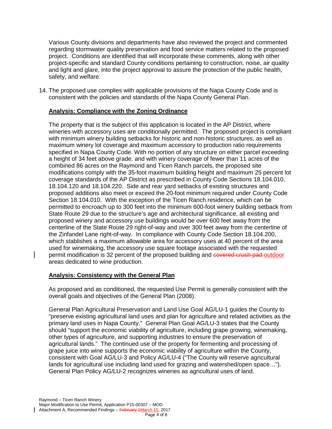Various County divisions and departments have also reviewed the project and commented regarding stormwater quality preservation and food service matters related to the proposed project. Conditions are identified that will incorporate these comments, along with other project-specific and standard County conditions pertaining to construction, noise, air quality and light and glare, into the project approval to assure the protection of the public health, safety, and welfare.

14. The proposed use complies with applicable provisions of the Napa County Code and is consistent with the policies and standards of the Napa County General Plan.

## **Analysis: Compliance with the Zoning Ordinance**

The property that is the subject of this application is located in the AP District, where wineries with accessory uses are conditionally permitted. The proposed project is compliant with minimum winery building setbacks for historic and non-historic structures, as well as maximum winery lot coverage and maximum accessory to production ratio requirements specified in Napa County Code. With no portion of any structure on either parcel exceeding a height of 34 feet above grade, and with winery coverage of fewer than 11 acres of the combined 86 acres on the Raymond and Ticen Ranch parcels, the proposed site modifications comply with the 35-foot maximum building height and maximum 25 percent lot coverage standards of the AP District as prescribed in County Code Sections 18.104.010, 18.104.120 and 18.104.220. Side and rear yard setbacks of existing structures and proposed additions also meet or exceed the 20-foot minimum required under County Code Section 18.104.010. With the exception of the Ticen Ranch residence, which can be permitted to encroach up to 300 feet into the minimum 600-foot winery building setback from State Route 29 due to the structure's age and architectural significance, all existing and proposed winery and accessory use buildings would be over 600 feet away from the centerline of the State Route 29 right-of-way and over 300 feet away from the centerline of the Zinfandel Lane right-of-way. In compliance with County Code Section 18.104.200, which stablishes a maximum allowable area for accessory uses at 40 percent of the area used for winemaking, the accessory use square footage associated with the requested permit modification is 32 percent of the proposed building and covered crush pad-outdoor areas dedicated to wine production.

## **Analysis: Consistency with the General Plan**

As proposed and as conditioned, the requested Use Permit is generally consistent with the overall goals and objectives of the General Plan (2008).

General Plan Agricultural Preservation and Land Use Goal AG/LU-1 guides the County to "preserve existing agricultural land uses and plan for agriculture and related activities as the primary land uses in Napa County." General Plan Goal AG/LU-3 states that the County should "support the economic viability of agriculture, including grape growing, winemaking, other types of agriculture, and supporting industries to ensure the preservation of agricultural lands." The continued use of the property for fermenting and processing of grape juice into wine supports the economic viability of agriculture within the County, consistent with Goal AG/LU-3 and Policy AG/LU-4 ("The County will reserve agricultural lands for agricultural use including land used for grazing and watershed/open space…"). General Plan Policy AG/LU-2 recognizes wineries as agricultural uses of land.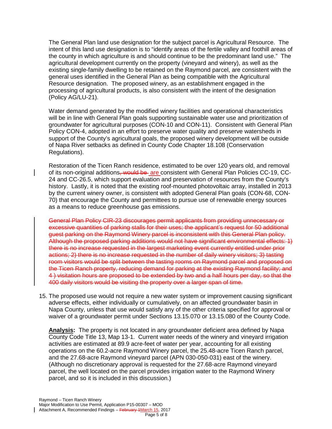The General Plan land use designation for the subject parcel is Agricultural Resource. The intent of this land use designation is to "identify areas of the fertile valley and foothill areas of the county in which agriculture is and should continue to be the predominant land use." The agricultural development currently on the property (vineyard and winery), as well as the existing single-family dwelling to be retained on the Raymond parcel, are consistent with the general uses identified in the General Plan as being compatible with the Agricultural Resource designation. The proposed winery, as an establishment engaged in the processing of agricultural products, is also consistent with the intent of the designation (Policy AG/LU-21).

Water demand generated by the modified winery facilities and operational characteristics will be in line with General Plan goals supporting sustainable water use and prioritization of groundwater for agricultural purposes (CON-10 and CON-11). Consistent with General Plan Policy CON-4, adopted in an effort to preserve water quality and preserve watersheds in support of the County's agricultural goals, the proposed winery development will be outside of Napa River setbacks as defined in County Code Chapter 18.108 (Conservation Regulations).

Restoration of the Ticen Ranch residence, estimated to be over 120 years old, and removal of its non-original additions<del>, would be</del> are consistent with General Plan Policies CC-19, CC-24 and CC-26.5, which support evaluation and preservation of resources from the County's history. Lastly, it is noted that the existing roof-mounted photovoltaic array, installed in 2013 by the current winery owner, is consistent with adopted General Plan goals (CON-68, CON-70) that encourage the County and permittees to pursue use of renewable energy sources as a means to reduce greenhouse gas emissions.

General Plan Policy CIR-23 discourages permit applicants from providing unnecessary or excessive quantities of parking stalls for their uses; the applicant's request for 50 additional guest parking on the Raymond Winery parcel is inconsistent with this General Plan policy. Although the proposed parking additions would not have significant environmental effects: 1) there is no increase requested in the largest marketing event currently entitled under prior actions; 2) there is no increase requested in the number of daily winery visitors; 3) tasting room visitors would be split between the tasting rooms on Raymond parcel and proposed on the Ticen Ranch property, reducing demand for parking at the existing Raymond facility; and 4 ) visitation hours are proposed to be extended by two and a half hours per day, so that the 400 daily visitors would be visiting the property over a larger span of time.

15. The proposed use would not require a new water system or improvement causing significant adverse effects, either individually or cumulatively, on an affected groundwater basin in Napa County, unless that use would satisfy any of the other criteria specified for approval or waiver of a groundwater permit under Sections 13.15.070 or 13.15.080 of the County Code.

**Analysis:** The property is not located in any groundwater deficient area defined by Napa County Code Title 13, Map 13-1. Current water needs of the winery and vineyard irrigation activities are estimated at 89.9 acre-feet of water per year, accounting for all existing operations on the 60.2-acre Raymond Winery parcel, the 25.48-acre Ticen Ranch parcel, and the 27.68-acre Raymond vineyard parcel (APN 030-050-031) east of the winery. (Although no discretionary approval is requested for the 27.68-acre Raymond vineyard parcel, the well located on the parcel provides irrigation water to the Raymond Winery parcel, and so it is included in this discussion.)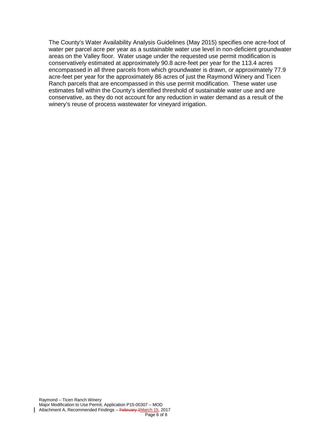The County's Water Availability Analysis Guidelines (May 2015) specifies one acre-foot of water per parcel acre per year as a sustainable water use level in non-deficient groundwater areas on the Valley floor. Water usage under the requested use permit modification is conservatively estimated at approximately 90.8 acre-feet per year for the 113.4 acres encompassed in all three parcels from which groundwater is drawn, or approximately 77.9 acre-feet per year for the approximately 86 acres of just the Raymond Winery and Ticen Ranch parcels that are encompassed in this use permit modification. These water use estimates fall within the County's identified threshold of sustainable water use and are conservative, as they do not account for any reduction in water demand as a result of the winery's reuse of process wastewater for vineyard irrigation.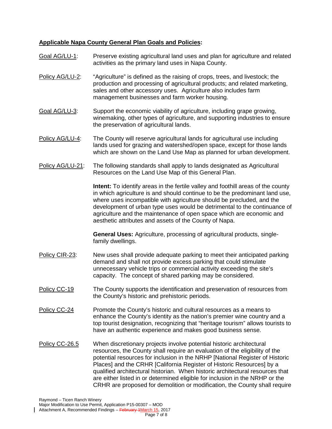# **Applicable Napa County General Plan Goals and Policies:**

Goal AG/LU-1: Preserve existing agricultural land uses and plan for agriculture and related activities as the primary land uses in Napa County. Policy AG/LU-2: "Agriculture" is defined as the raising of crops, trees, and livestock; the production and processing of agricultural products; and related marketing, sales and other accessory uses. Agriculture also includes farm management businesses and farm worker housing. Goal AG/LU-3: Support the economic viability of agriculture, including grape growing, winemaking, other types of agriculture, and supporting industries to ensure the preservation of agricultural lands. Policy AG/LU-4: The County will reserve agricultural lands for agricultural use including lands used for grazing and watershed/open space, except for those lands which are shown on the Land Use Map as planned for urban development. Policy AG/LU-21: The following standards shall apply to lands designated as Agricultural Resources on the Land Use Map of this General Plan. **Intent:** To identify areas in the fertile valley and foothill areas of the county in which agriculture is and should continue to be the predominant land use, where uses incompatible with agriculture should be precluded, and the development of urban type uses would be detrimental to the continuance of agriculture and the maintenance of open space which are economic and aesthetic attributes and assets of the County of Napa. **General Uses:** Agriculture, processing of agricultural products, singlefamily dwellings. Policy CIR-23: New uses shall provide adequate parking to meet their anticipated parking demand and shall not provide excess parking that could stimulate unnecessary vehicle trips or commercial activity exceeding the site's capacity. The concept of shared parking may be considered. Policy CC-19 The County supports the identification and preservation of resources from the County's historic and prehistoric periods. Policy CC-24 Promote the County's historic and cultural resources as a means to enhance the County's identity as the nation's premier wine country and a top tourist designation, recognizing that "heritage tourism" allows tourists to have an authentic experience and makes good business sense. Policy CC-26.5 When discretionary projects involve potential historic architectural resources, the County shall require an evaluation of the eligibility of the potential resources for inclusion in the NRHP [National Register of Historic Places] and the CRHR [California Register of Historic Resources] by a qualified architectural historian. When historic architectural resources that are either listed in or determined eligible for inclusion in the NRHP or the CRHR are proposed for demolition or modification, the County shall require